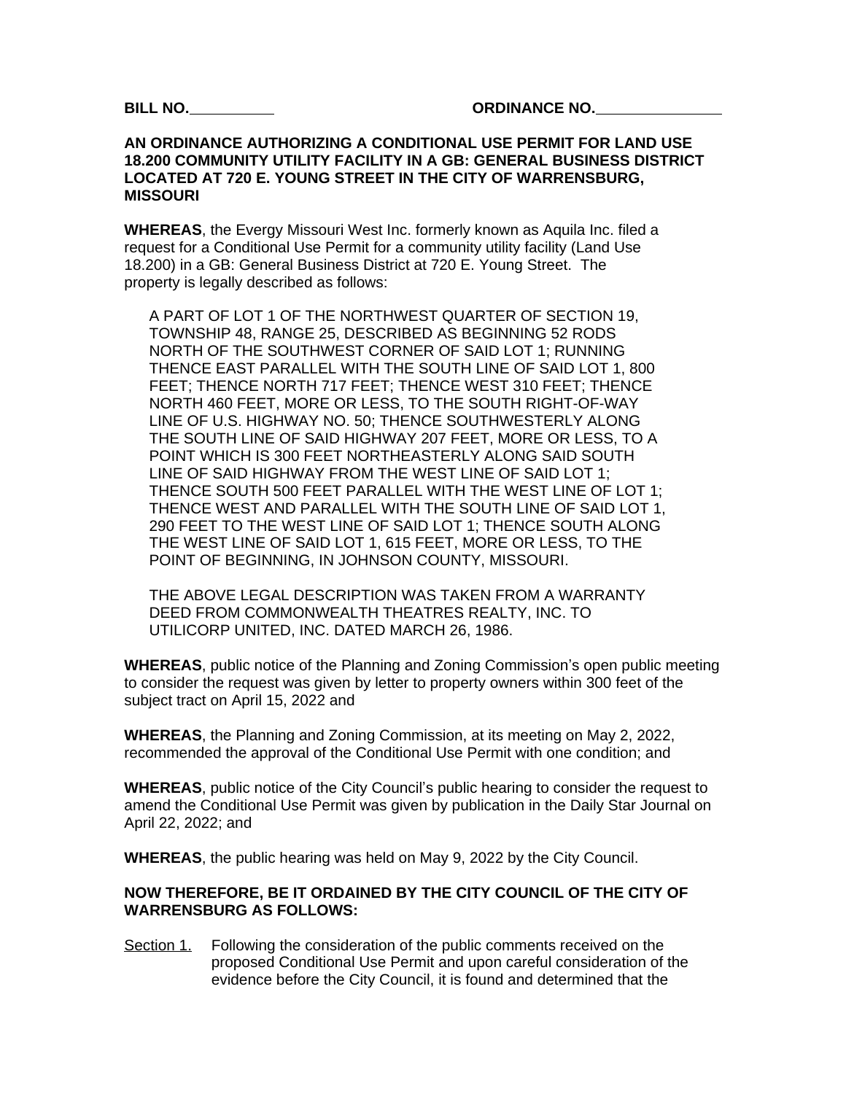**BILL NO. ORDINANCE NO.** 

## **AN ORDINANCE AUTHORIZING A CONDITIONAL USE PERMIT FOR LAND USE 18.200 COMMUNITY UTILITY FACILITY IN A GB: GENERAL BUSINESS DISTRICT LOCATED AT 720 E. YOUNG STREET IN THE CITY OF WARRENSBURG, MISSOURI**

**WHEREAS**, the Evergy Missouri West Inc. formerly known as Aquila Inc. filed a request for a Conditional Use Permit for a community utility facility (Land Use 18.200) in a GB: General Business District at 720 E. Young Street. The property is legally described as follows:

A PART OF LOT 1 OF THE NORTHWEST QUARTER OF SECTION 19, TOWNSHIP 48, RANGE 25, DESCRIBED AS BEGINNING 52 RODS NORTH OF THE SOUTHWEST CORNER OF SAID LOT 1; RUNNING THENCE EAST PARALLEL WITH THE SOUTH LINE OF SAID LOT 1, 800 FEET; THENCE NORTH 717 FEET; THENCE WEST 310 FEET; THENCE NORTH 460 FEET, MORE OR LESS, TO THE SOUTH RIGHT-OF-WAY LINE OF U.S. HIGHWAY NO. 50; THENCE SOUTHWESTERLY ALONG THE SOUTH LINE OF SAID HIGHWAY 207 FEET, MORE OR LESS, TO A POINT WHICH IS 300 FEET NORTHEASTERLY ALONG SAID SOUTH LINE OF SAID HIGHWAY FROM THE WEST LINE OF SAID LOT 1; THENCE SOUTH 500 FEET PARALLEL WITH THE WEST LINE OF LOT 1; THENCE WEST AND PARALLEL WITH THE SOUTH LINE OF SAID LOT 1, 290 FEET TO THE WEST LINE OF SAID LOT 1; THENCE SOUTH ALONG THE WEST LINE OF SAID LOT 1, 615 FEET, MORE OR LESS, TO THE POINT OF BEGINNING, IN JOHNSON COUNTY, MISSOURI.

THE ABOVE LEGAL DESCRIPTION WAS TAKEN FROM A WARRANTY DEED FROM COMMONWEALTH THEATRES REALTY, INC. TO UTILICORP UNITED, INC. DATED MARCH 26, 1986.

**WHEREAS**, public notice of the Planning and Zoning Commission's open public meeting to consider the request was given by letter to property owners within 300 feet of the subject tract on April 15, 2022 and

**WHEREAS**, the Planning and Zoning Commission, at its meeting on May 2, 2022, recommended the approval of the Conditional Use Permit with one condition; and

**WHEREAS**, public notice of the City Council's public hearing to consider the request to amend the Conditional Use Permit was given by publication in the Daily Star Journal on April 22, 2022; and

**WHEREAS**, the public hearing was held on May 9, 2022 by the City Council.

## **NOW THEREFORE, BE IT ORDAINED BY THE CITY COUNCIL OF THE CITY OF WARRENSBURG AS FOLLOWS:**

Section 1. Following the consideration of the public comments received on the proposed Conditional Use Permit and upon careful consideration of the evidence before the City Council, it is found and determined that the